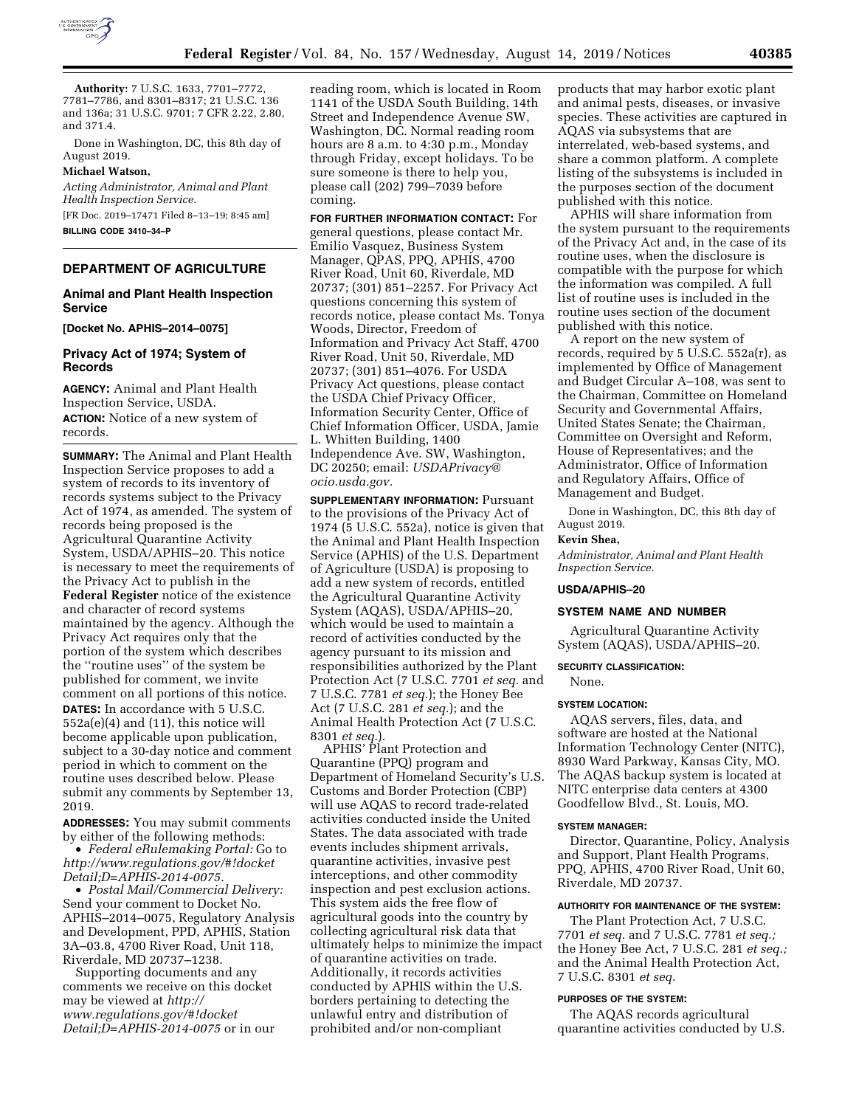

**Authority:** 7 U.S.C. 1633, 7701–7772, 7781–7786, and 8301–8317; 21 U.S.C. 136 and 136a; 31 U.S.C. 9701; 7 CFR 2.22, 2.80, and 371.4.

Done in Washington, DC, this 8th day of August 2019.

### **Michael Watson,**

*Acting Administrator, Animal and Plant Health Inspection Service.* 

[FR Doc. 2019–17471 Filed 8–13–19; 8:45 am] **BILLING CODE 3410–34–P** 

# **DEPARTMENT OF AGRICULTURE**

### **Animal and Plant Health Inspection Service**

**[Docket No. APHIS–2014–0075]** 

# **Privacy Act of 1974; System of Records**

**AGENCY:** Animal and Plant Health Inspection Service, USDA. **ACTION:** Notice of a new system of records.

**SUMMARY:** The Animal and Plant Health Inspection Service proposes to add a system of records to its inventory of records systems subject to the Privacy Act of 1974, as amended. The system of records being proposed is the Agricultural Quarantine Activity System, USDA/APHIS–20. This notice is necessary to meet the requirements of the Privacy Act to publish in the **Federal Register** notice of the existence and character of record systems maintained by the agency. Although the Privacy Act requires only that the portion of the system which describes the ''routine uses'' of the system be published for comment, we invite comment on all portions of this notice. **DATES:** In accordance with 5 U.S.C. 552a(e)(4) and (11), this notice will become applicable upon publication, subject to a 30-day notice and comment period in which to comment on the routine uses described below. Please submit any comments by September 13, 2019.

**ADDRESSES:** You may submit comments by either of the following methods:

• *Federal eRulemaking Portal:* Go to *[http://www.regulations.gov/#!docket](http://www.regulations.gov/#!docketDetail;D=APHIS-2014-0075) [Detail;D=APHIS-2014-0075.](http://www.regulations.gov/#!docketDetail;D=APHIS-2014-0075)* 

• *Postal Mail/Commercial Delivery:*  Send your comment to Docket No. APHIS–2014–0075, Regulatory Analysis and Development, PPD, APHIS, Station 3A–03.8, 4700 River Road, Unit 118, Riverdale, MD 20737–1238.

Supporting documents and any comments we receive on this docket may be viewed at *[http://](http://www.regulations.gov/#!docketDetail;D=APHIS-2014-0075) [www.regulations.gov/#!docket](http://www.regulations.gov/#!docketDetail;D=APHIS-2014-0075) [Detail;D=APHIS-2014-0075](http://www.regulations.gov/#!docketDetail;D=APHIS-2014-0075)* or in our reading room, which is located in Room 1141 of the USDA South Building, 14th Street and Independence Avenue SW, Washington, DC. Normal reading room hours are 8 a.m. to 4:30 p.m., Monday through Friday, except holidays. To be sure someone is there to help you, please call (202) 799–7039 before coming.

**FOR FURTHER INFORMATION CONTACT:** For general questions, please contact Mr. Emilio Vasquez, Business System Manager, QPAS, PPQ, APHIS, 4700 River Road, Unit 60, Riverdale, MD 20737; (301) 851–2257. For Privacy Act questions concerning this system of records notice, please contact Ms. Tonya Woods, Director, Freedom of Information and Privacy Act Staff, 4700 River Road, Unit 50, Riverdale, MD 20737; (301) 851–4076. For USDA Privacy Act questions, please contact the USDA Chief Privacy Officer, Information Security Center, Office of Chief Information Officer, USDA, Jamie L. Whitten Building, 1400 Independence Ave. SW, Washington, DC 20250; email: *[USDAPrivacy@](mailto:USDAPrivacy@ocio.usda.gov) [ocio.usda.gov.](mailto:USDAPrivacy@ocio.usda.gov)* 

**SUPPLEMENTARY INFORMATION:** Pursuant to the provisions of the Privacy Act of 1974 (5 U.S.C. 552a), notice is given that the Animal and Plant Health Inspection Service (APHIS) of the U.S. Department of Agriculture (USDA) is proposing to add a new system of records, entitled the Agricultural Quarantine Activity System (AQAS), USDA/APHIS–20, which would be used to maintain a record of activities conducted by the agency pursuant to its mission and responsibilities authorized by the Plant Protection Act (7 U.S.C. 7701 *et seq.* and 7 U.S.C. 7781 *et seq.*); the Honey Bee Act (7 U.S.C. 281 *et seq.*); and the Animal Health Protection Act (7 U.S.C. 8301 *et seq.*).

APHIS' Plant Protection and Quarantine (PPQ) program and Department of Homeland Security's U.S. Customs and Border Protection (CBP) will use AQAS to record trade-related activities conducted inside the United States. The data associated with trade events includes shipment arrivals, quarantine activities, invasive pest interceptions, and other commodity inspection and pest exclusion actions. This system aids the free flow of agricultural goods into the country by collecting agricultural risk data that ultimately helps to minimize the impact of quarantine activities on trade. Additionally, it records activities conducted by APHIS within the U.S. borders pertaining to detecting the unlawful entry and distribution of prohibited and/or non-compliant

products that may harbor exotic plant and animal pests, diseases, or invasive species. These activities are captured in AQAS via subsystems that are interrelated, web-based systems, and share a common platform. A complete listing of the subsystems is included in the purposes section of the document published with this notice.

APHIS will share information from the system pursuant to the requirements of the Privacy Act and, in the case of its routine uses, when the disclosure is compatible with the purpose for which the information was compiled. A full list of routine uses is included in the routine uses section of the document published with this notice.

A report on the new system of records, required by 5 U.S.C. 552a(r), as implemented by Office of Management and Budget Circular A–108, was sent to the Chairman, Committee on Homeland Security and Governmental Affairs, United States Senate; the Chairman, Committee on Oversight and Reform, House of Representatives; and the Administrator, Office of Information and Regulatory Affairs, Office of Management and Budget.

Done in Washington, DC, this 8th day of August 2019.

# **Kevin Shea,**

*Administrator, Animal and Plant Health Inspection Service.* 

# **USDA/APHIS–20**

# **SYSTEM NAME AND NUMBER**

Agricultural Quarantine Activity System (AQAS), USDA/APHIS–20.

# **SECURITY CLASSIFICATION:**

None.

#### **SYSTEM LOCATION:**

AQAS servers, files, data, and software are hosted at the National Information Technology Center (NITC), 8930 Ward Parkway, Kansas City, MO. The AQAS backup system is located at NITC enterprise data centers at 4300 Goodfellow Blvd., St. Louis, MO.

#### **SYSTEM MANAGER:**

Director, Quarantine, Policy, Analysis and Support, Plant Health Programs, PPQ, APHIS, 4700 River Road, Unit 60, Riverdale, MD 20737.

#### **AUTHORITY FOR MAINTENANCE OF THE SYSTEM:**

The Plant Protection Act, 7 U.S.C. 7701 *et seq.* and 7 U.S.C. 7781 *et seq.;*  the Honey Bee Act, 7 U.S.C. 281 *et seq.;*  and the Animal Health Protection Act, 7 U.S.C. 8301 *et seq.* 

# **PURPOSES OF THE SYSTEM:**

The AQAS records agricultural quarantine activities conducted by U.S.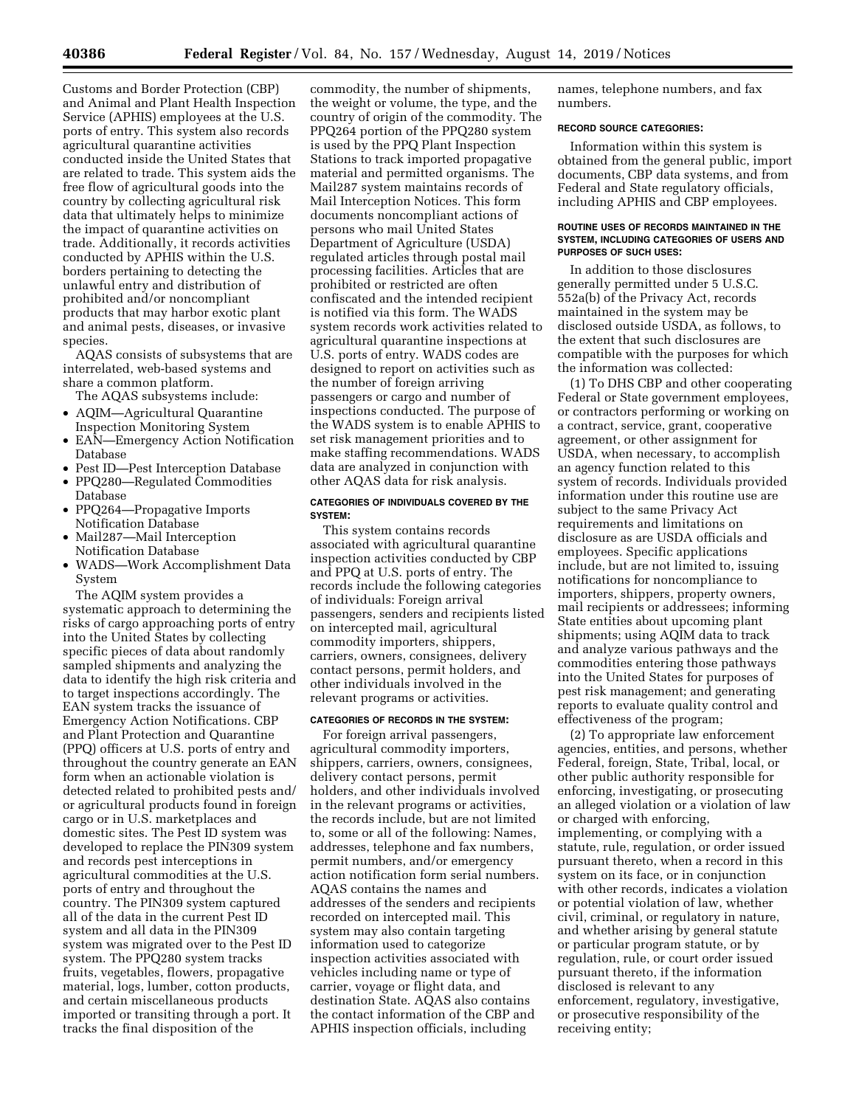Customs and Border Protection (CBP) and Animal and Plant Health Inspection Service (APHIS) employees at the U.S. ports of entry. This system also records agricultural quarantine activities conducted inside the United States that are related to trade. This system aids the free flow of agricultural goods into the country by collecting agricultural risk data that ultimately helps to minimize the impact of quarantine activities on trade. Additionally, it records activities conducted by APHIS within the U.S. borders pertaining to detecting the unlawful entry and distribution of prohibited and/or noncompliant products that may harbor exotic plant and animal pests, diseases, or invasive species.

AQAS consists of subsystems that are interrelated, web-based systems and share a common platform.

The AQAS subsystems include:

- AQIM—Agricultural Quarantine Inspection Monitoring System
- EAN—Emergency Action Notification Database
- Pest ID—Pest Interception Database
- PPQ280—Regulated Commodities Database
- PPQ264—Propagative Imports Notification Database
- Mail287—Mail Interception Notification Database
- WADS—Work Accomplishment Data System

The AQIM system provides a systematic approach to determining the risks of cargo approaching ports of entry into the United States by collecting specific pieces of data about randomly sampled shipments and analyzing the data to identify the high risk criteria and to target inspections accordingly. The EAN system tracks the issuance of Emergency Action Notifications. CBP and Plant Protection and Quarantine (PPQ) officers at U.S. ports of entry and throughout the country generate an EAN form when an actionable violation is detected related to prohibited pests and/ or agricultural products found in foreign cargo or in U.S. marketplaces and domestic sites. The Pest ID system was developed to replace the PIN309 system and records pest interceptions in agricultural commodities at the U.S. ports of entry and throughout the country. The PIN309 system captured all of the data in the current Pest ID system and all data in the PIN309 system was migrated over to the Pest ID system. The PPQ280 system tracks fruits, vegetables, flowers, propagative material, logs, lumber, cotton products, and certain miscellaneous products imported or transiting through a port. It tracks the final disposition of the

commodity, the number of shipments, the weight or volume, the type, and the country of origin of the commodity. The PPQ264 portion of the PPQ280 system is used by the PPQ Plant Inspection Stations to track imported propagative material and permitted organisms. The Mail287 system maintains records of Mail Interception Notices. This form documents noncompliant actions of persons who mail United States Department of Agriculture (USDA) regulated articles through postal mail processing facilities. Articles that are prohibited or restricted are often confiscated and the intended recipient is notified via this form. The WADS system records work activities related to agricultural quarantine inspections at U.S. ports of entry. WADS codes are designed to report on activities such as the number of foreign arriving passengers or cargo and number of inspections conducted. The purpose of the WADS system is to enable APHIS to set risk management priorities and to make staffing recommendations. WADS data are analyzed in conjunction with other AQAS data for risk analysis.

### **CATEGORIES OF INDIVIDUALS COVERED BY THE SYSTEM:**

This system contains records associated with agricultural quarantine inspection activities conducted by CBP and PPQ at U.S. ports of entry. The records include the following categories of individuals: Foreign arrival passengers, senders and recipients listed on intercepted mail, agricultural commodity importers, shippers, carriers, owners, consignees, delivery contact persons, permit holders, and other individuals involved in the relevant programs or activities.

#### **CATEGORIES OF RECORDS IN THE SYSTEM:**

For foreign arrival passengers, agricultural commodity importers, shippers, carriers, owners, consignees, delivery contact persons, permit holders, and other individuals involved in the relevant programs or activities, the records include, but are not limited to, some or all of the following: Names, addresses, telephone and fax numbers, permit numbers, and/or emergency action notification form serial numbers. AQAS contains the names and addresses of the senders and recipients recorded on intercepted mail. This system may also contain targeting information used to categorize inspection activities associated with vehicles including name or type of carrier, voyage or flight data, and destination State. AQAS also contains the contact information of the CBP and APHIS inspection officials, including

names, telephone numbers, and fax numbers.

# **RECORD SOURCE CATEGORIES:**

Information within this system is obtained from the general public, import documents, CBP data systems, and from Federal and State regulatory officials, including APHIS and CBP employees.

#### **ROUTINE USES OF RECORDS MAINTAINED IN THE SYSTEM, INCLUDING CATEGORIES OF USERS AND PURPOSES OF SUCH USES:**

In addition to those disclosures generally permitted under 5 U.S.C. 552a(b) of the Privacy Act, records maintained in the system may be disclosed outside USDA, as follows, to the extent that such disclosures are compatible with the purposes for which the information was collected:

(1) To DHS CBP and other cooperating Federal or State government employees, or contractors performing or working on a contract, service, grant, cooperative agreement, or other assignment for USDA, when necessary, to accomplish an agency function related to this system of records. Individuals provided information under this routine use are subject to the same Privacy Act requirements and limitations on disclosure as are USDA officials and employees. Specific applications include, but are not limited to, issuing notifications for noncompliance to importers, shippers, property owners, mail recipients or addressees; informing State entities about upcoming plant shipments; using AQIM data to track and analyze various pathways and the commodities entering those pathways into the United States for purposes of pest risk management; and generating reports to evaluate quality control and effectiveness of the program;

(2) To appropriate law enforcement agencies, entities, and persons, whether Federal, foreign, State, Tribal, local, or other public authority responsible for enforcing, investigating, or prosecuting an alleged violation or a violation of law or charged with enforcing, implementing, or complying with a statute, rule, regulation, or order issued pursuant thereto, when a record in this system on its face, or in conjunction with other records, indicates a violation or potential violation of law, whether civil, criminal, or regulatory in nature, and whether arising by general statute or particular program statute, or by regulation, rule, or court order issued pursuant thereto, if the information disclosed is relevant to any enforcement, regulatory, investigative, or prosecutive responsibility of the receiving entity;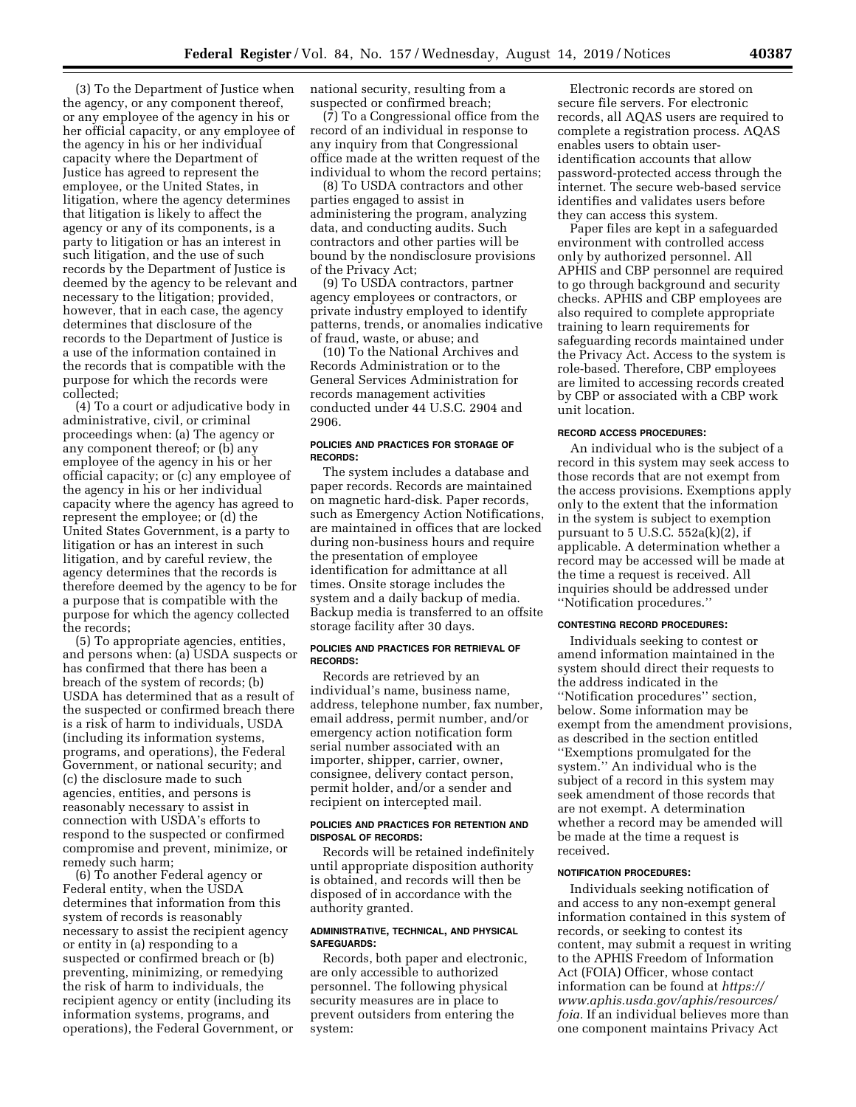(3) To the Department of Justice when the agency, or any component thereof, or any employee of the agency in his or her official capacity, or any employee of the agency in his or her individual capacity where the Department of Justice has agreed to represent the employee, or the United States, in litigation, where the agency determines that litigation is likely to affect the agency or any of its components, is a party to litigation or has an interest in such litigation, and the use of such records by the Department of Justice is deemed by the agency to be relevant and necessary to the litigation; provided, however, that in each case, the agency determines that disclosure of the records to the Department of Justice is a use of the information contained in the records that is compatible with the purpose for which the records were collected;

(4) To a court or adjudicative body in administrative, civil, or criminal proceedings when: (a) The agency or any component thereof; or (b) any employee of the agency in his or her official capacity; or (c) any employee of the agency in his or her individual capacity where the agency has agreed to represent the employee; or (d) the United States Government, is a party to litigation or has an interest in such litigation, and by careful review, the agency determines that the records is therefore deemed by the agency to be for a purpose that is compatible with the purpose for which the agency collected the records;

(5) To appropriate agencies, entities, and persons when: (a) USDA suspects or has confirmed that there has been a breach of the system of records; (b) USDA has determined that as a result of the suspected or confirmed breach there is a risk of harm to individuals, USDA (including its information systems, programs, and operations), the Federal Government, or national security; and (c) the disclosure made to such agencies, entities, and persons is reasonably necessary to assist in connection with USDA's efforts to respond to the suspected or confirmed compromise and prevent, minimize, or remedy such harm;

(6) To another Federal agency or Federal entity, when the USDA determines that information from this system of records is reasonably necessary to assist the recipient agency or entity in (a) responding to a suspected or confirmed breach or (b) preventing, minimizing, or remedying the risk of harm to individuals, the recipient agency or entity (including its information systems, programs, and operations), the Federal Government, or national security, resulting from a suspected or confirmed breach;

(7) To a Congressional office from the record of an individual in response to any inquiry from that Congressional office made at the written request of the individual to whom the record pertains;

(8) To USDA contractors and other parties engaged to assist in administering the program, analyzing data, and conducting audits. Such contractors and other parties will be bound by the nondisclosure provisions of the Privacy Act;

(9) To USDA contractors, partner agency employees or contractors, or private industry employed to identify patterns, trends, or anomalies indicative of fraud, waste, or abuse; and

(10) To the National Archives and Records Administration or to the General Services Administration for records management activities conducted under 44 U.S.C. 2904 and 2906.

### **POLICIES AND PRACTICES FOR STORAGE OF RECORDS:**

The system includes a database and paper records. Records are maintained on magnetic hard-disk. Paper records, such as Emergency Action Notifications, are maintained in offices that are locked during non-business hours and require the presentation of employee identification for admittance at all times. Onsite storage includes the system and a daily backup of media. Backup media is transferred to an offsite storage facility after 30 days.

#### **POLICIES AND PRACTICES FOR RETRIEVAL OF RECORDS:**

Records are retrieved by an individual's name, business name, address, telephone number, fax number, email address, permit number, and/or emergency action notification form serial number associated with an importer, shipper, carrier, owner, consignee, delivery contact person, permit holder, and/or a sender and recipient on intercepted mail.

## **POLICIES AND PRACTICES FOR RETENTION AND DISPOSAL OF RECORDS:**

Records will be retained indefinitely until appropriate disposition authority is obtained, and records will then be disposed of in accordance with the authority granted.

# **ADMINISTRATIVE, TECHNICAL, AND PHYSICAL SAFEGUARDS:**

Records, both paper and electronic, are only accessible to authorized personnel. The following physical security measures are in place to prevent outsiders from entering the system:

Electronic records are stored on secure file servers. For electronic records, all AQAS users are required to complete a registration process. AQAS enables users to obtain useridentification accounts that allow password-protected access through the internet. The secure web-based service identifies and validates users before they can access this system.

Paper files are kept in a safeguarded environment with controlled access only by authorized personnel. All APHIS and CBP personnel are required to go through background and security checks. APHIS and CBP employees are also required to complete appropriate training to learn requirements for safeguarding records maintained under the Privacy Act. Access to the system is role-based. Therefore, CBP employees are limited to accessing records created by CBP or associated with a CBP work unit location.

# **RECORD ACCESS PROCEDURES:**

An individual who is the subject of a record in this system may seek access to those records that are not exempt from the access provisions. Exemptions apply only to the extent that the information in the system is subject to exemption pursuant to  $5$  U.S.C.  $552a(k)(2)$ , if applicable. A determination whether a record may be accessed will be made at the time a request is received. All inquiries should be addressed under ''Notification procedures.''

### **CONTESTING RECORD PROCEDURES:**

Individuals seeking to contest or amend information maintained in the system should direct their requests to the address indicated in the ''Notification procedures'' section, below. Some information may be exempt from the amendment provisions, as described in the section entitled ''Exemptions promulgated for the system.'' An individual who is the subject of a record in this system may seek amendment of those records that are not exempt. A determination whether a record may be amended will be made at the time a request is received.

#### **NOTIFICATION PROCEDURES:**

Individuals seeking notification of and access to any non-exempt general information contained in this system of records, or seeking to contest its content, may submit a request in writing to the APHIS Freedom of Information Act (FOIA) Officer, whose contact information can be found at *[https://](https://www.aphis.usda.gov/aphis/resources/foia) [www.aphis.usda.gov/aphis/resources/](https://www.aphis.usda.gov/aphis/resources/foia) [foia.](https://www.aphis.usda.gov/aphis/resources/foia)* If an individual believes more than one component maintains Privacy Act